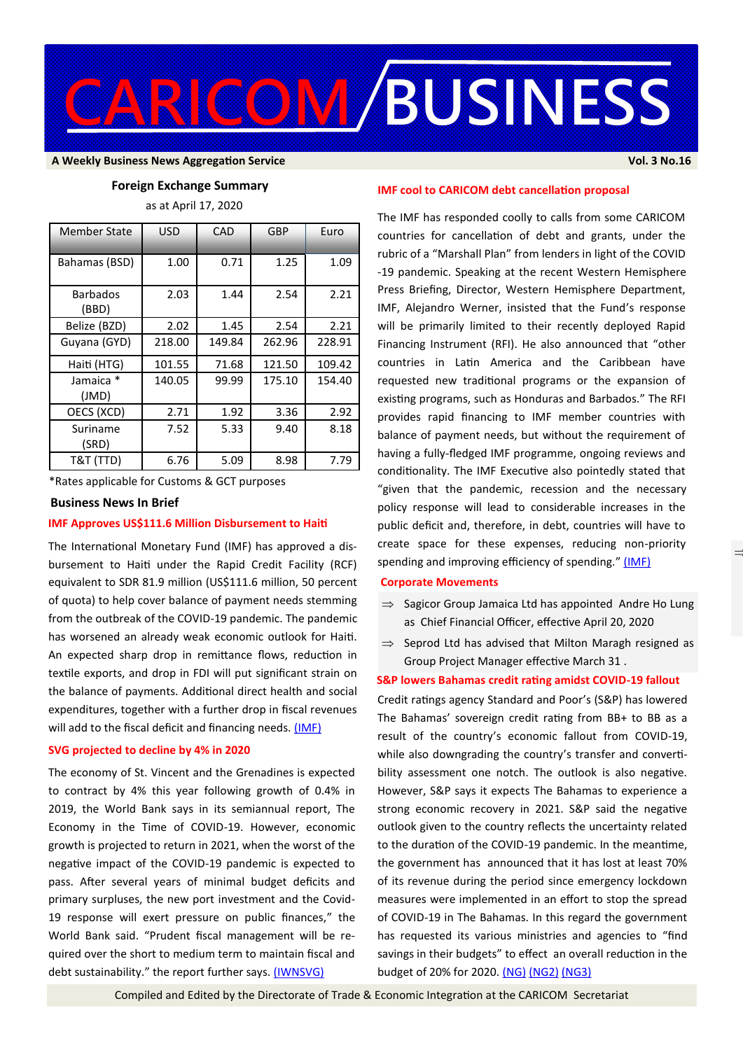

#### **A Weekly Business News Aggregation Service Vol. 3 No.16**

### **Foreign Exchange Summary**

as at April 17, 2020

| Member State             | <b>USD</b> | CAD    | GBP    | Euro   |
|--------------------------|------------|--------|--------|--------|
| Bahamas (BSD)            | 1.00       | 0.71   | 1.25   | 1.09   |
| <b>Barbados</b><br>(BBD) | 2.03       | 1.44   | 2.54   | 2.21   |
| Belize (BZD)             | 2.02       | 1.45   | 2.54   | 2.21   |
| Guyana (GYD)             | 218.00     | 149.84 | 262.96 | 228.91 |
| Haiti (HTG)              | 101.55     | 71.68  | 121.50 | 109.42 |
| Jamaica *<br>(JMD)       | 140.05     | 99.99  | 175.10 | 154.40 |
| OECS (XCD)               | 2.71       | 1.92   | 3.36   | 2.92   |
| Suriname<br>(SRD)        | 7.52       | 5.33   | 9.40   | 8.18   |
| T&T (TTD)                | 6.76       | 5.09   | 8.98   | 7.79   |

\*Rates applicable for Customs & GCT purposes

#### **Business News In Brief**

## **IMF Approves US\$111.6 Million Disbursement to Haiti**

The International Monetary Fund (IMF) has approved a disbursement to Haiti under the Rapid Credit Facility (RCF) equivalent to SDR 81.9 million (US\$111.6 million, 50 percent of quota) to help cover balance of payment needs stemming from the outbreak of the COVID-19 pandemic. The pandemic has worsened an already weak economic outlook for Haiti. An expected sharp drop in remittance flows, reduction in textile exports, and drop in FDI will put significant strain on the balance of payments. Additional direct health and social expenditures, together with a further drop in fiscal revenues will add to the fiscal deficit and financing needs. [\(IMF\)](https://www.imf.org/en/News/Articles/2020/04/17/pr20171-haiti-imf-executive-board-approves-us-111-6m-disbursement-address-covid19-pandemic)

### **SVG projected to decline by 4% in 2020**

The economy of St. Vincent and the Grenadines is expected to contract by 4% this year following growth of 0.4% in 2019, the World Bank says in its semiannual report, The Economy in the Time of COVID-19. However, economic growth is projected to return in 2021, when the worst of the negative impact of the COVID-19 pandemic is expected to pass. After several years of minimal budget deficits and primary surpluses, the new port investment and the Covid-19 response will exert pressure on public finances," the World Bank said. "Prudent fiscal management will be required over the short to medium term to maintain fiscal and debt sustainability." the report further says. [\(IWNSVG\)](https://www.iwnsvg.com/2020/04/14/dont-use-crisis-to-return-political-favours-world-bank/)

 $\equiv$ 

## **IMF cool to CARICOM debt cancellation proposal**

The IMF has responded coolly to calls from some CARICOM countries for cancellation of debt and grants, under the rubric of a "Marshall Plan" from lenders in light of the COVID -19 pandemic. Speaking at the recent Western Hemisphere Press Briefing, Director, Western Hemisphere Department, IMF, Alejandro Werner, insisted that the Fund's response will be primarily limited to their recently deployed Rapid Financing Instrument (RFI). He also announced that "other countries in Latin America and the Caribbean have requested new traditional programs or the expansion of existing programs, such as Honduras and Barbados." The RFI provides rapid financing to IMF member countries with balance of payment needs, but without the requirement of having a fully-fledged IMF programme, ongoing reviews and conditionality. The IMF Executive also pointedly stated that "given that the pandemic, recession and the necessary policy response will lead to considerable increases in the public deficit and, therefore, in debt, countries will have to create space for these expenses, reducing non-priority spending and improving efficiency of spending." [\(IMF\)](https://www.imf.org/en/News/Articles/2020/04/17/tr041620-transcript-of-april-2020-western-hemisphere-department-press-briefing)

# **Corporate Movements**

- $\Rightarrow$  Sagicor Group Jamaica Ltd has appointed Andre Ho Lung as Chief Financial Officer, effective April 20, 2020
- $\Rightarrow$  Seprod Ltd has advised that Milton Maragh resigned as Group Project Manager effective March 31 .

#### **S&P lowers Bahamas credit rating amidst COVID-19 fallout**

Credit ratings agency Standard and Poor's (S&P) has lowered The Bahamas' sovereign credit rating from BB+ to BB as a result of the country's economic fallout from COVID-19, while also downgrading the country's transfer and convertibility assessment one notch. The outlook is also negative. However, S&P says it expects The Bahamas to experience a strong economic recovery in 2021. S&P said the negative outlook given to the country reflects the uncertainty related to the duration of the COVID-19 pandemic. In the meantime, the government has announced that it has lost at least 70% of its revenue during the period since emergency lockdown measures were implemented in an effort to stop the spread of COVID-19 in The Bahamas. In this regard the government has requested its various ministries and agencies to "find savings in their budgets" to effect an overall reduction in the budget of 20% for 2020. [\(NG\)](https://thenassauguardian.com/2020/04/17/sp-lowers-credit-rating-as-a-result-of-covid-19-fallout/) [\(NG2\)](https://thenassauguardian.com/2020/04/17/dpm-seventy-percent-of-revenue-lost-since-march/) [\(NG3\)](https://thenassauguardian.com/2020/04/17/govt-wants-20-percent-budget-cuts-at-ministries/)

Compiled and Edited by the Directorate of Trade & Economic Integration at the CARICOM Secretariat